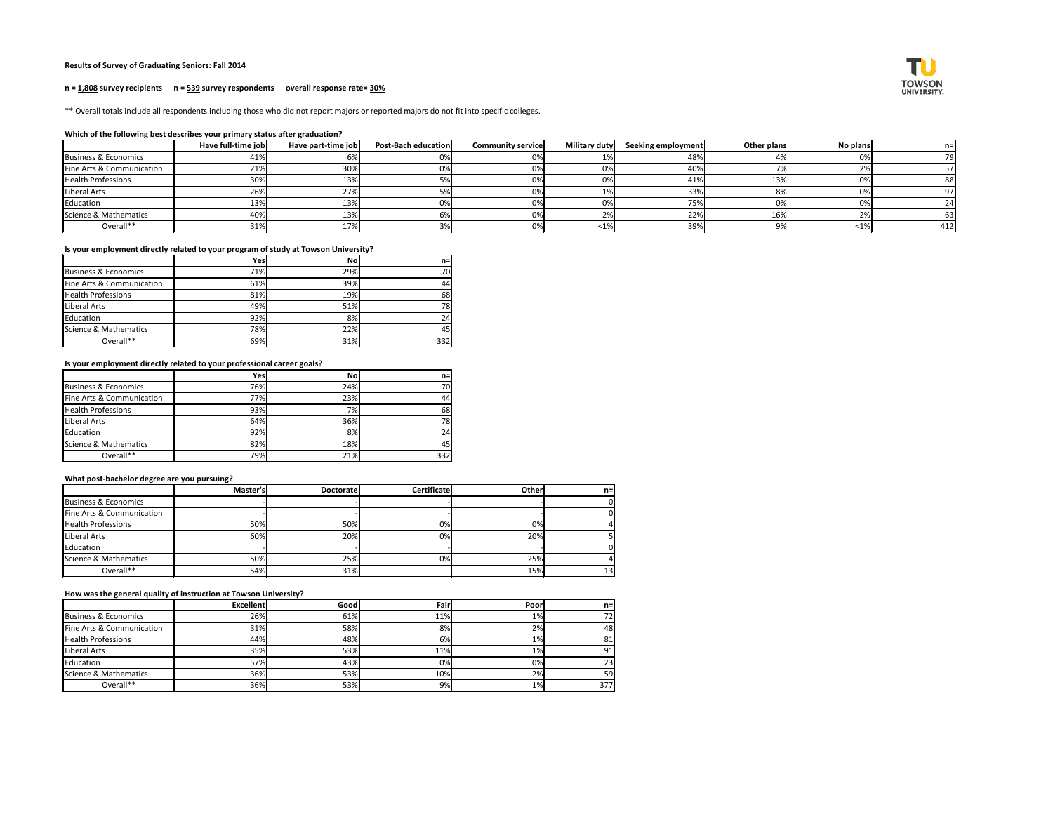# **Results of Survey of Graduating Seniors: Fall 2014**

### **n = 1,808 survey recipients n = 539 survey respondents overall response rate= 30%**

\*\* Overall totals include all respondents including those who did not report majors or reported majors do not fit into specific colleges.

## **Which of the following best describes your primary status after graduation?**

|                           | Have full-time job | Have part-time job | <b>Post-Bach education</b> | <b>Community service</b> | <b>Military duty</b> | Seeking employment | Other plans | No plans | n=  |
|---------------------------|--------------------|--------------------|----------------------------|--------------------------|----------------------|--------------------|-------------|----------|-----|
| Business & Economics      | 41%                |                    | ∪ ∕∪∣                      |                          |                      | 48%                |             |          | 79  |
| Fine Arts & Communication | 21%                | 30%                |                            |                          |                      | 40%                |             |          |     |
| <b>Health Professions</b> | 30%                | <b>13%</b>         |                            |                          |                      | 41%                | 13%         |          |     |
| Liberal Arts              | 26%                | 27%                |                            |                          |                      | 33%                |             |          | 97  |
| Education                 | 13%                | 13%                |                            |                          |                      | 7F <sub>0</sub>    | 0%          |          | 24  |
| Science & Mathematics     | 40%                | 13%                |                            |                          | $\sim$               | 22%                | 16%         |          | 63  |
| Overall**                 | 31%                | 17%                |                            |                          |                      | 39%                | 9%          | <1%      | 412 |

# **Is your employment directly related to your program of study at Towson University?**

|                           | Yes | <b>No</b> | $n =$ |
|---------------------------|-----|-----------|-------|
| Business & Economics      | 71% | 29%       | 70    |
| Fine Arts & Communication | 61% | 39%       | 44    |
| <b>Health Professions</b> | 81% | 19%       | 68    |
| Liberal Arts              | 49% | 51%       | 78    |
| Education                 | 92% | 8%        | 24    |
| Science & Mathematics     | 78% | 22%       | 45    |
| Overall**                 | 69% | 31%       | 332   |

**Is your employment directly related to your professional career goals?**

|                                      | Yes        | <b>No</b> | $n =$ |
|--------------------------------------|------------|-----------|-------|
| Business & Economics                 | <b>76%</b> | 24%       | 70    |
| <b>Fine Arts &amp; Communication</b> | 77%        | 23%       | 44    |
| <b>Health Professions</b>            | 93%        | 7%        | 68    |
| Liberal Arts                         | 64%        | 36%       | 78    |
| <b>Education</b>                     | 92%        | 8%        | 24    |
| Science & Mathematics                | 82%        | 18%       | 45    |
| Overall**                            | 79%        | 21%       | 332   |

### **What post-bachelor degree are you pursuing?**

|                           | Master's | <b>Doctoratel</b> | <b>Certificate</b> | Other | $n=$ |
|---------------------------|----------|-------------------|--------------------|-------|------|
| Business & Economics      |          |                   |                    |       |      |
| Fine Arts & Communication |          |                   |                    |       |      |
| <b>Health Professions</b> | 50%      | 50%               | 0%                 | 0%    |      |
| Liberal Arts              | 60%      | 20%               | 0%                 | 20%   |      |
| Education                 |          |                   |                    |       |      |
| Science & Mathematics     | 50%      | 25%               | 0%                 | 25%   |      |
| Overall**                 | 54%      | 31%               |                    | 15%   | 13'  |

#### **How was the general quality of instruction at Towson University?**

|                           | <b>Excellent</b> | Goodl | Fair | <b>Poor</b> | $n=$ |
|---------------------------|------------------|-------|------|-------------|------|
| Business & Economics      | 26%              | 61%   | 11%  | $1\%$       |      |
| Fine Arts & Communication | 31%              | 58%   | 8%   | 2%          | 48   |
| <b>Health Professions</b> | 44%              | 48%   | 6%   | $1\%$       | 81   |
| Liberal Arts              | 35%              | 53%   | 11%  | $1\%$       | 91   |
| Education                 | 57%              | 43%   | 0%)  | 0%          | 23   |
| Science & Mathematics     | 36%              | 53%   | 10%  | 2%          | 59   |
| Overall**                 | 36%              | 53%   | 9%)  | 1%          | 377  |

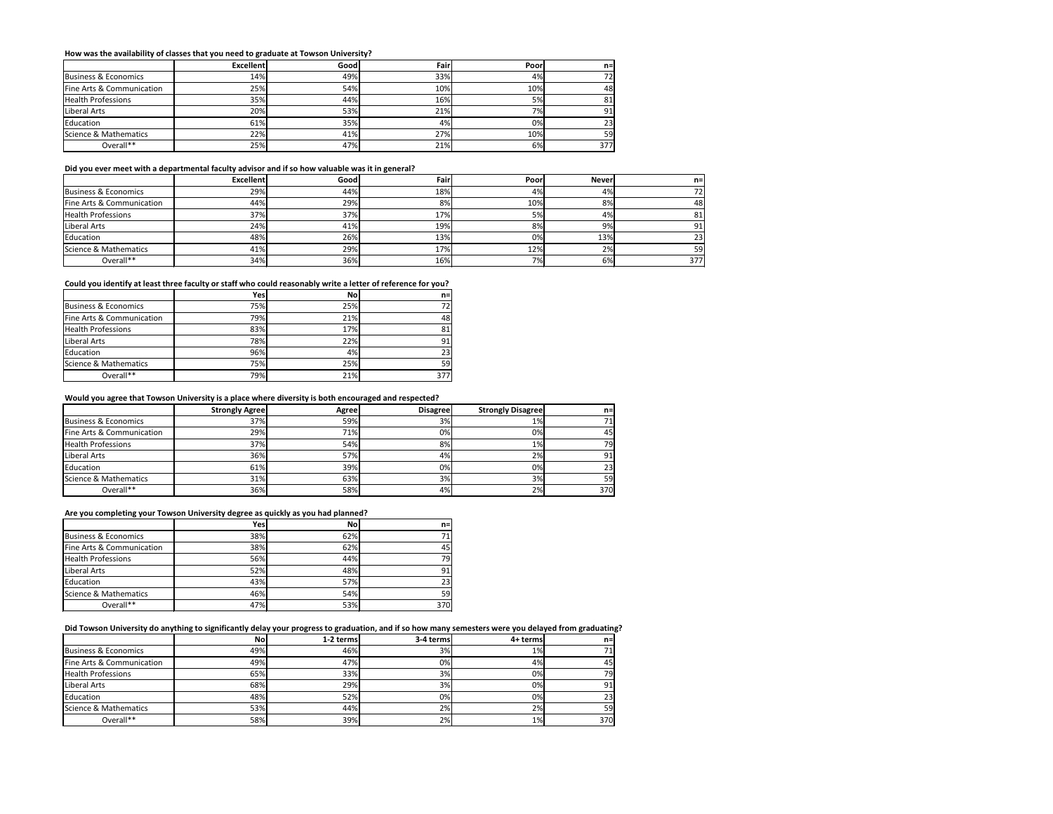### **How was the availability of classes that you need to graduate at Towson University?**

|                           | <b>Excellent</b> | Good | Fair | Poor | $n =$ |
|---------------------------|------------------|------|------|------|-------|
| Business & Economics      | 14%              | 49%  | 33%  | 4%   | 72    |
| Fine Arts & Communication | 25%              | 54%  | 10%  | 10%  | 48    |
| <b>Health Professions</b> | 35%              | 44%  | 16%  | 5%   | 81    |
| Liberal Arts              | 20%              | 53%  | 21%  | 7%   | 91    |
| Education                 | 61%              | 35%  | 4%   | 0%   | 23    |
| Science & Mathematics     | 22%              | 41%  | 27%  | 10%  | 59    |
| Overall**                 | 25%              | 47%  | 21%  | 6%   | 377   |

### **Did you ever meet with a departmental faculty advisor and if so how valuable was it in general?**

|                           | <b>Excellent</b> | Good | Fair | Poor      | <b>Never</b> | $n=1$ |
|---------------------------|------------------|------|------|-----------|--------------|-------|
| Business & Economics      | 29%              | 44%  | 18%  | 4%        | 4%           | 72I   |
| Fine Arts & Communication | 44%              | 29%  | 8%   | 10%       | 8%           | 48    |
| <b>Health Professions</b> | 37%              | 37%  | 17%  | <b>5%</b> | 4%           | 81    |
| Liberal Arts              | 24%              | 41%  | 19%  | 8%        | 9%           | 91    |
| Education                 | 48%              | 26%  | 13%  | 0%        | 13%          | 23    |
| Science & Mathematics     | 41%              | 29%  | 17%  | 12%       | 2%           | 59    |
| Overall**                 | 34%              | 36%  | 16%  | 7%        | 6%           | 377   |

## **Could you identify at least three faculty or staff who could reasonably write a letter of reference for you?**

|                           | Yes | <b>No</b> | $n =$ |
|---------------------------|-----|-----------|-------|
| Business & Economics      | 75% | 25%       | 72    |
| Fine Arts & Communication | 79% | 21%       | 48    |
| <b>Health Professions</b> | 83% | 17%       | 81    |
| Liberal Arts              | 78% | 22%       | 91    |
| Education                 | 96% | 4%        | 23    |
| Science & Mathematics     | 75% | 25%       | 59    |
| Overall**                 | 79% | 21%       | 377   |

#### **Would you agree that Towson University is a place where diversity is both encouraged and respected?**

|                           | <b>Strongly Agree</b> | <b>Agree</b> | <b>Disagree</b> | <b>Strongly Disagree</b> | $n=$ |
|---------------------------|-----------------------|--------------|-----------------|--------------------------|------|
| Business & Economics      | 37%                   | 59%)         | 3%              | $1\%$                    |      |
| Fine Arts & Communication | 29%                   | 71%          | 0%              | 0%                       | 45   |
| <b>Health Professions</b> | 37%                   | 54%          | 8%              | $1\%$                    | 79   |
| Liberal Arts              | 36%                   | 57%          | 4%              | 2%                       | 91   |
| Education                 | 61%                   | 39%          | 0%              | 0%                       | 23   |
| Science & Mathematics     | 31%                   | 63%          | 3%              | 3%                       | 59)  |
| Overall**                 | 36%                   | 58%          | 4%              | 2%                       | 370  |

## **Are you completing your Towson University degree as quickly as you had planned?**

|                           | Yes | <b>No</b> | $n =$ |
|---------------------------|-----|-----------|-------|
| Business & Economics      | 38% | 62%       | 71    |
| Fine Arts & Communication | 38% | 62%l      | 45    |
| <b>Health Professions</b> | 56% | 44%       | 79    |
| Liberal Arts              | 52% | 48%       | 91    |
| Education                 | 43% | 57%       | 23    |
| Science & Mathematics     | 46% | 54%       | 59    |
| Overall**                 | 47% | 53%       | 370   |

## **Did Towson University do anything to significantly delay your progress to graduation, and if so how many semesters were you delayed from graduating?**

|                           | <b>No</b> | 1-2 terms | 3-4 terms | 4+ terms | $n=$ |
|---------------------------|-----------|-----------|-----------|----------|------|
| Business & Economics      | 49%       | 46%       | 3%        | $1\%$    |      |
| Fine Arts & Communication | 49%       | 47%       | 0%        | 4%       | 45   |
| <b>Health Professions</b> | 65%       | 33%       | 3%        | $0\%$    | 79 I |
| Liberal Arts              | 68%       | 29%       | 3%        | 0%       | 91   |
| Education                 | 48%       | 52%       | 0%        | 0%       | ا 23 |
| Science & Mathematics     | 53%       | 44%       | 2%        | 2%       | 59   |
| Overall**                 | 58%       | 39%       | 2%        | 1%       | 370  |